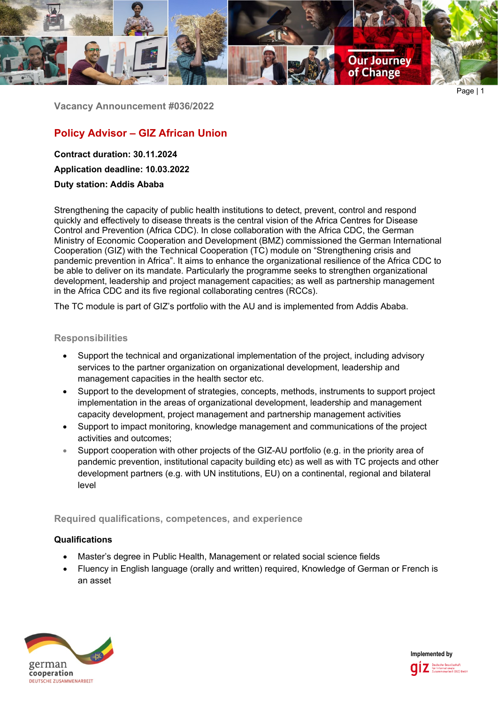

Page | 1

**Vacancy Announcement #036/2022**

# **Policy Advisor – GIZ African Union**

**Contract duration: 30.11.2024**

**Application deadline: 10.03.2022**

**Duty station: Addis Ababa**

Strengthening the capacity of public health institutions to detect, prevent, control and respond quickly and effectively to disease threats is the central vision of the Africa Centres for Disease Control and Prevention (Africa CDC). In close collaboration with the Africa CDC, the German Ministry of Economic Cooperation and Development (BMZ) commissioned the German International Cooperation (GIZ) with the Technical Cooperation (TC) module on "Strengthening crisis and pandemic prevention in Africa". It aims to enhance the organizational resilience of the Africa CDC to be able to deliver on its mandate. Particularly the programme seeks to strengthen organizational development, leadership and project management capacities; as well as partnership management in the Africa CDC and its five regional collaborating centres (RCCs).

The TC module is part of GIZ's portfolio with the AU and is implemented from Addis Ababa.

## **Responsibilities**

- Support the technical and organizational implementation of the project, including advisory services to the partner organization on organizational development, leadership and management capacities in the health sector etc.
- Support to the development of strategies, concepts, methods, instruments to support project implementation in the areas of organizational development, leadership and management capacity development, project management and partnership management activities
- Support to impact monitoring, knowledge management and communications of the project activities and outcomes;
- Support cooperation with other projects of the GIZ-AU portfolio (e.g. in the priority area of pandemic prevention, institutional capacity building etc) as well as with TC projects and other development partners (e.g. with UN institutions, EU) on a continental, regional and bilateral level

# **Required qualifications, competences, and experience**

# **Qualifications**

- Master's degree in Public Health, Management or related social science fields
- Fluency in English language (orally and written) required, Knowledge of German or French is an asset